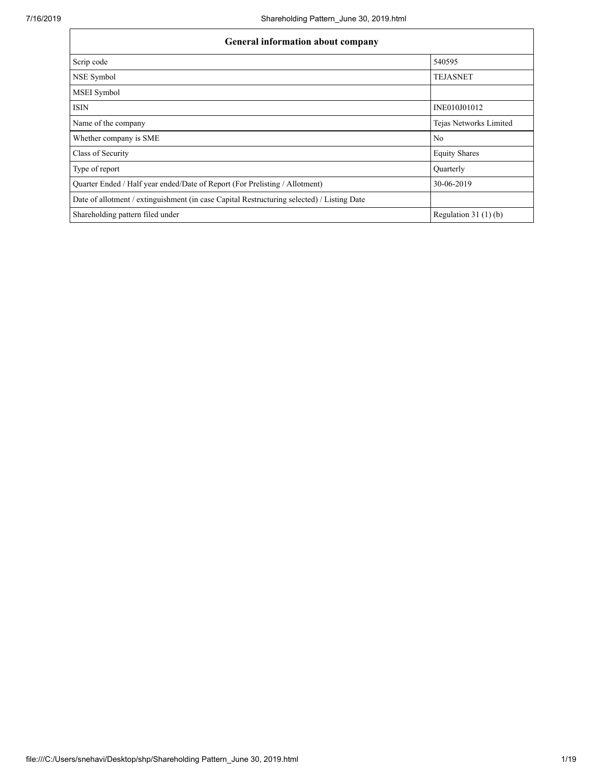| <b>General information about company</b>                                                   |                        |  |  |  |  |  |
|--------------------------------------------------------------------------------------------|------------------------|--|--|--|--|--|
| Scrip code                                                                                 | 540595                 |  |  |  |  |  |
| NSE Symbol                                                                                 | <b>TEJASNET</b>        |  |  |  |  |  |
| MSEI Symbol                                                                                |                        |  |  |  |  |  |
| <b>ISIN</b>                                                                                | INE010J01012           |  |  |  |  |  |
| Name of the company                                                                        | Tejas Networks Limited |  |  |  |  |  |
| Whether company is SME                                                                     | No                     |  |  |  |  |  |
| Class of Security                                                                          | <b>Equity Shares</b>   |  |  |  |  |  |
| Type of report                                                                             | Quarterly              |  |  |  |  |  |
| Quarter Ended / Half year ended/Date of Report (For Prelisting / Allotment)                | 30-06-2019             |  |  |  |  |  |
| Date of allotment / extinguishment (in case Capital Restructuring selected) / Listing Date |                        |  |  |  |  |  |
| Shareholding pattern filed under                                                           | Regulation $31(1)(b)$  |  |  |  |  |  |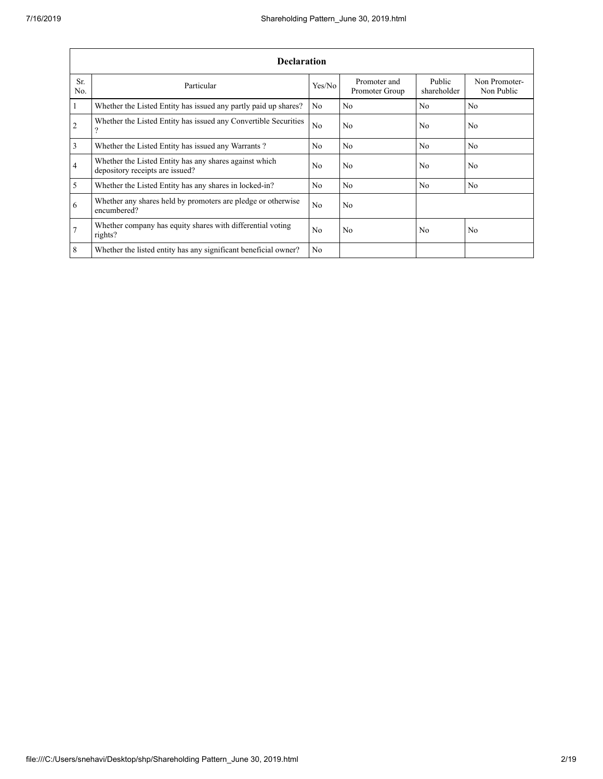|                | <b>Declaration</b>                                                                          |                |                                |                       |                             |  |  |  |  |
|----------------|---------------------------------------------------------------------------------------------|----------------|--------------------------------|-----------------------|-----------------------------|--|--|--|--|
| Sr.<br>No.     | Particular                                                                                  | Yes/No         | Promoter and<br>Promoter Group | Public<br>shareholder | Non Promoter-<br>Non Public |  |  |  |  |
| $\vert$ 1      | Whether the Listed Entity has issued any partly paid up shares?                             | No             | No                             | No                    | No                          |  |  |  |  |
| $\overline{2}$ | Whether the Listed Entity has issued any Convertible Securities<br>$\overline{\mathcal{L}}$ | N <sub>0</sub> | No                             | No.                   | N <sub>0</sub>              |  |  |  |  |
| $\overline{3}$ | Whether the Listed Entity has issued any Warrants?                                          | No.            | No                             | N <sub>0</sub>        | N <sub>0</sub>              |  |  |  |  |
| $\overline{4}$ | Whether the Listed Entity has any shares against which<br>depository receipts are issued?   | No             | No                             | No                    | No                          |  |  |  |  |
| $\overline{5}$ | Whether the Listed Entity has any shares in locked-in?                                      | No             | No                             | No                    | No                          |  |  |  |  |
| 6              | Whether any shares held by promoters are pledge or otherwise<br>encumbered?                 | No             | No                             |                       |                             |  |  |  |  |
| $\overline{7}$ | Whether company has equity shares with differential voting<br>rights?                       | No.            | No                             | No.                   | No                          |  |  |  |  |
| 8              | Whether the listed entity has any significant beneficial owner?                             | No.            |                                |                       |                             |  |  |  |  |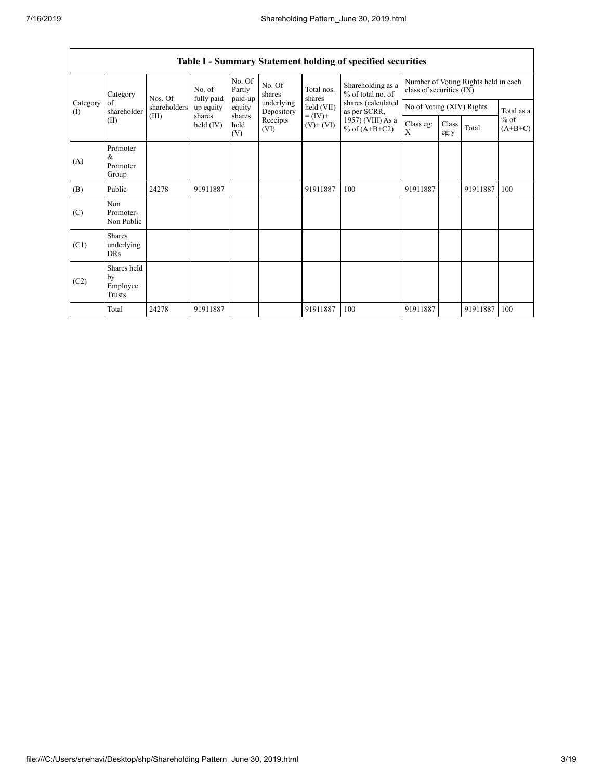| Category        | Nos. Of                                   | No. of<br>fully paid | No. Of<br>Partly<br>paid-up        | No. Of<br>shares      | Total nos.<br>shares     | Shareholding as a<br>% of total no. of | Number of Voting Rights held in each<br>class of securities (IX)                    |                           |               |          |                     |
|-----------------|-------------------------------------------|----------------------|------------------------------------|-----------------------|--------------------------|----------------------------------------|-------------------------------------------------------------------------------------|---------------------------|---------------|----------|---------------------|
| Category<br>(I) | of<br>shareholder                         | shareholders         | up equity<br>shares<br>held $(IV)$ | equity                | underlying<br>Depository | held (VII)                             | shares (calculated<br>as per SCRR,<br>$19\bar{5}7$ ) (VIII) As a<br>% of $(A+B+C2)$ | No of Voting (XIV) Rights |               |          | Total as a          |
|                 | (II)                                      | (III)                |                                    | shares<br>held<br>(V) | Receipts<br>(VI)         | $= (IV) +$<br>$(V)$ + $(VI)$           |                                                                                     | Class eg:<br>X            | Class<br>eg:y | Total    | $%$ of<br>$(A+B+C)$ |
| (A)             | Promoter<br>&<br>Promoter<br>Group        |                      |                                    |                       |                          |                                        |                                                                                     |                           |               |          |                     |
| (B)             | Public                                    | 24278                | 91911887                           |                       |                          | 91911887                               | 100                                                                                 | 91911887                  |               | 91911887 | 100                 |
| (C)             | Non<br>Promoter-<br>Non Public            |                      |                                    |                       |                          |                                        |                                                                                     |                           |               |          |                     |
| (C1)            | <b>Shares</b><br>underlying<br><b>DRs</b> |                      |                                    |                       |                          |                                        |                                                                                     |                           |               |          |                     |
| (C2)            | Shares held<br>by<br>Employee<br>Trusts   |                      |                                    |                       |                          |                                        |                                                                                     |                           |               |          |                     |
|                 | Total                                     | 24278                | 91911887                           |                       |                          | 91911887                               | 100                                                                                 | 91911887                  |               | 91911887 | 100                 |

## **Table I - Summary Statement holding of specified securities**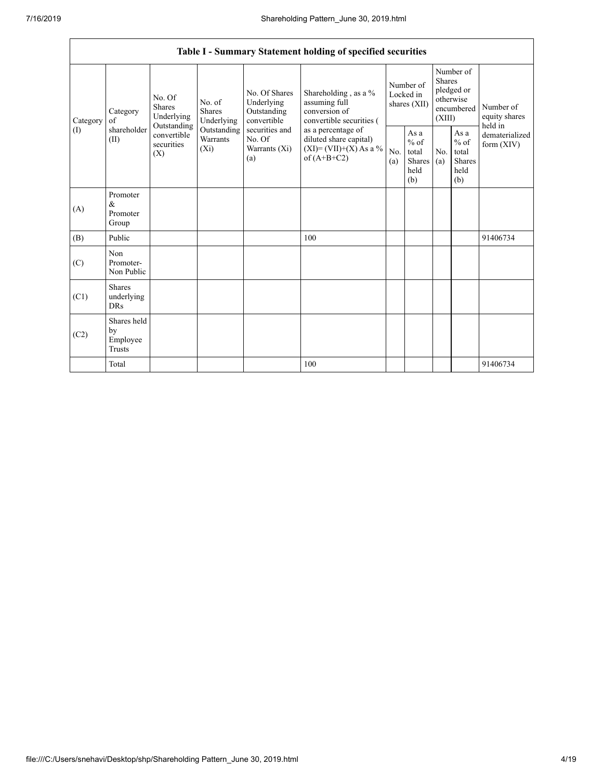|          | Table I - Summary Statement holding of specified securities                                                                                                                                                                                                                                                                                                                                                                                                                             |            |                                                  |            |                                                         |                                        |  |                                                                               |  |                                       |
|----------|-----------------------------------------------------------------------------------------------------------------------------------------------------------------------------------------------------------------------------------------------------------------------------------------------------------------------------------------------------------------------------------------------------------------------------------------------------------------------------------------|------------|--------------------------------------------------|------------|---------------------------------------------------------|----------------------------------------|--|-------------------------------------------------------------------------------|--|---------------------------------------|
| Category | No. Of Shares<br>Shareholding, as a %<br>No. Of<br>Underlying<br>assuming full<br>No. of<br><b>Shares</b><br><b>Shares</b><br>conversion of<br>Category<br>Outstanding<br>Underlying<br>Underlying<br>convertible<br>of<br>Outstanding<br>securities and<br>shareholder<br>Outstanding<br>as a percentage of<br>convertible<br>Warrants<br>No. Of<br>diluted share capital)<br>(II)<br>securities<br>$(XI)=(VII)+(X) As a %$<br>$(X_i)$<br>Warrants (Xi)<br>(X)<br>of $(A+B+C2)$<br>(a) |            |                                                  |            | convertible securities (                                | Number of<br>Locked in<br>shares (XII) |  | Number of<br><b>Shares</b><br>pledged or<br>otherwise<br>encumbered<br>(XIII) |  | Number of<br>equity shares<br>held in |
| (1)      |                                                                                                                                                                                                                                                                                                                                                                                                                                                                                         | No.<br>(a) | As a<br>$%$ of<br>total<br>Shares<br>held<br>(b) | No.<br>(a) | As a<br>$%$ of<br>total<br><b>Shares</b><br>held<br>(b) | dematerialized<br>form $(XIV)$         |  |                                                                               |  |                                       |
| (A)      | Promoter<br>&<br>Promoter<br>Group                                                                                                                                                                                                                                                                                                                                                                                                                                                      |            |                                                  |            |                                                         |                                        |  |                                                                               |  |                                       |
| (B)      | Public                                                                                                                                                                                                                                                                                                                                                                                                                                                                                  |            |                                                  |            | 100                                                     |                                        |  |                                                                               |  | 91406734                              |
| (C)      | Non<br>Promoter-<br>Non Public                                                                                                                                                                                                                                                                                                                                                                                                                                                          |            |                                                  |            |                                                         |                                        |  |                                                                               |  |                                       |
| (C1)     | <b>Shares</b><br>underlying<br><b>DRs</b>                                                                                                                                                                                                                                                                                                                                                                                                                                               |            |                                                  |            |                                                         |                                        |  |                                                                               |  |                                       |
| (C2)     | Shares held<br>by<br>Employee<br>Trusts                                                                                                                                                                                                                                                                                                                                                                                                                                                 |            |                                                  |            |                                                         |                                        |  |                                                                               |  |                                       |
|          | Total                                                                                                                                                                                                                                                                                                                                                                                                                                                                                   |            |                                                  |            | 100                                                     |                                        |  |                                                                               |  | 91406734                              |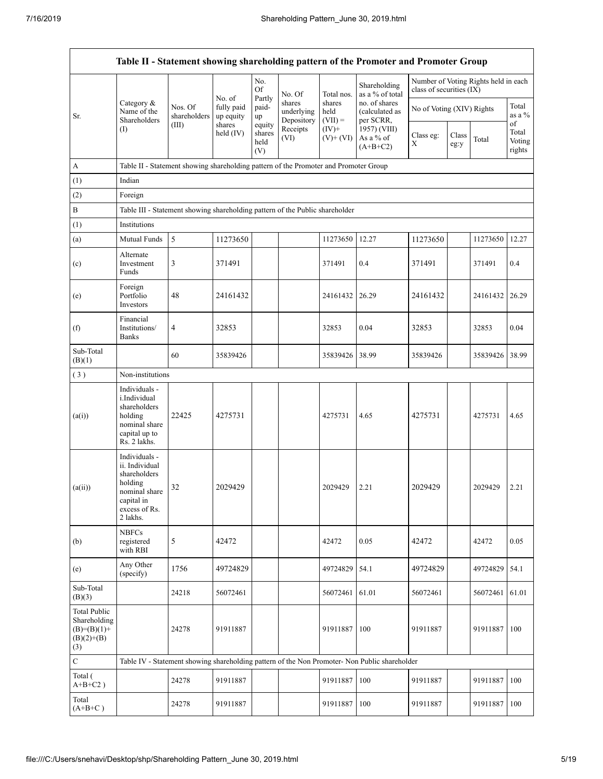Г

|                                                                             |                                                                                                                        |                                  |                                             |                                 |                                    |                             | Table II - Statement showing shareholding pattern of the Promoter and Promoter Group          |                           |               |                                      |                           |
|-----------------------------------------------------------------------------|------------------------------------------------------------------------------------------------------------------------|----------------------------------|---------------------------------------------|---------------------------------|------------------------------------|-----------------------------|-----------------------------------------------------------------------------------------------|---------------------------|---------------|--------------------------------------|---------------------------|
|                                                                             |                                                                                                                        |                                  |                                             | No.<br>Of                       | No. Of                             | Total nos.                  | Shareholding<br>as a % of total                                                               | class of securities (IX)  |               | Number of Voting Rights held in each |                           |
| Sr.                                                                         | Category &<br>Name of the<br>Shareholders                                                                              | Nos. Of<br>shareholders<br>(III) | No. of<br>fully paid<br>up equity<br>shares | Partly<br>paid-<br>up           | shares<br>underlying<br>Depository | shares<br>held<br>$(VII) =$ | no. of shares<br>(calculated as<br>per SCRR,                                                  | No of Voting (XIV) Rights |               |                                      | Total<br>as a %<br>of     |
|                                                                             | $($ I                                                                                                                  |                                  | held $(IV)$                                 | equity<br>shares<br>held<br>(V) | Receipts<br>(VI)                   | $(IV)+$<br>$(V)$ + $(VI)$   | 1957) (VIII)<br>As a % of<br>$(A+B+C2)$                                                       | Class eg:<br>$\mathbf X$  | Class<br>eg:y | Total                                | Total<br>Voting<br>rights |
| A                                                                           | Table II - Statement showing shareholding pattern of the Promoter and Promoter Group                                   |                                  |                                             |                                 |                                    |                             |                                                                                               |                           |               |                                      |                           |
| (1)                                                                         | Indian                                                                                                                 |                                  |                                             |                                 |                                    |                             |                                                                                               |                           |               |                                      |                           |
| (2)                                                                         | Foreign                                                                                                                |                                  |                                             |                                 |                                    |                             |                                                                                               |                           |               |                                      |                           |
| $\, {\bf B}$                                                                | Table III - Statement showing shareholding pattern of the Public shareholder                                           |                                  |                                             |                                 |                                    |                             |                                                                                               |                           |               |                                      |                           |
| (1)                                                                         | Institutions                                                                                                           |                                  |                                             |                                 |                                    |                             |                                                                                               |                           |               |                                      |                           |
| (a)                                                                         | Mutual Funds                                                                                                           | $\overline{5}$                   | 11273650                                    |                                 |                                    | 11273650                    | 12.27                                                                                         | 11273650                  |               | 11273650                             | 12.27                     |
| (c)                                                                         | Alternate<br>Investment<br>Funds                                                                                       | 3                                | 371491                                      |                                 |                                    | 371491                      | 0.4                                                                                           | 371491                    |               | 371491                               | 0.4                       |
| (e)                                                                         | Foreign<br>Portfolio<br>Investors                                                                                      | 48                               | 24161432                                    |                                 |                                    | 24161432                    | 26.29                                                                                         | 24161432                  |               | 24161432                             | 26.29                     |
| (f)                                                                         | Financial<br>Institutions/<br><b>Banks</b>                                                                             | $\overline{4}$                   | 32853                                       |                                 |                                    | 32853                       | 0.04                                                                                          | 32853                     |               | 32853                                | 0.04                      |
| Sub-Total<br>(B)(1)                                                         |                                                                                                                        | 60                               | 35839426                                    |                                 |                                    | 35839426                    | 38.99                                                                                         | 35839426                  |               | 35839426                             | 38.99                     |
| (3)                                                                         | Non-institutions                                                                                                       |                                  |                                             |                                 |                                    |                             |                                                                                               |                           |               |                                      |                           |
| (a(i))                                                                      | Individuals -<br>i.Individual<br>shareholders<br>holding<br>nominal share<br>capital up to<br>Rs. 2 lakhs.             | 22425                            | 4275731                                     |                                 |                                    | 4275731                     | 4.65                                                                                          | 4275731                   |               | 4275731                              | 4.65                      |
| (a(ii))                                                                     | Individuals -<br>ii. Individual<br>shareholders<br>holding<br>nominal share<br>capital in<br>excess of Rs.<br>2 lakhs. | 32                               | 2029429                                     |                                 |                                    | 2029429                     | 2.21                                                                                          | 2029429                   |               | 2029429                              | 2.21                      |
| (b)                                                                         | <b>NBFCs</b><br>registered<br>with RBI                                                                                 | 5                                | 42472                                       |                                 |                                    | 42472                       | 0.05                                                                                          | 42472                     |               | 42472                                | 0.05                      |
| (e)                                                                         | Any Other<br>(specify)                                                                                                 | 1756                             | 49724829                                    |                                 |                                    | 49724829                    | 54.1                                                                                          | 49724829                  |               | 49724829                             | 54.1                      |
| Sub-Total<br>(B)(3)                                                         |                                                                                                                        | 24218                            | 56072461                                    |                                 |                                    | 56072461                    | 61.01                                                                                         | 56072461                  |               | 56072461                             | 61.01                     |
| <b>Total Public</b><br>Shareholding<br>$(B)=(B)(1)+$<br>$(B)(2)+(B)$<br>(3) |                                                                                                                        | 24278                            | 91911887                                    |                                 |                                    | 91911887                    | 100                                                                                           | 91911887                  |               | 91911887                             | 100                       |
| $\overline{\mathbf{C}}$                                                     |                                                                                                                        |                                  |                                             |                                 |                                    |                             | Table IV - Statement showing shareholding pattern of the Non Promoter- Non Public shareholder |                           |               |                                      |                           |
| Total (<br>$A+B+C2$ )                                                       |                                                                                                                        | 24278                            | 91911887                                    |                                 |                                    | 91911887                    | 100                                                                                           | 91911887                  |               | 91911887                             | 100                       |
| Total<br>$(A+B+C)$                                                          |                                                                                                                        | 24278                            | 91911887                                    |                                 |                                    | 91911887                    | 100                                                                                           | 91911887                  |               | 91911887                             | 100                       |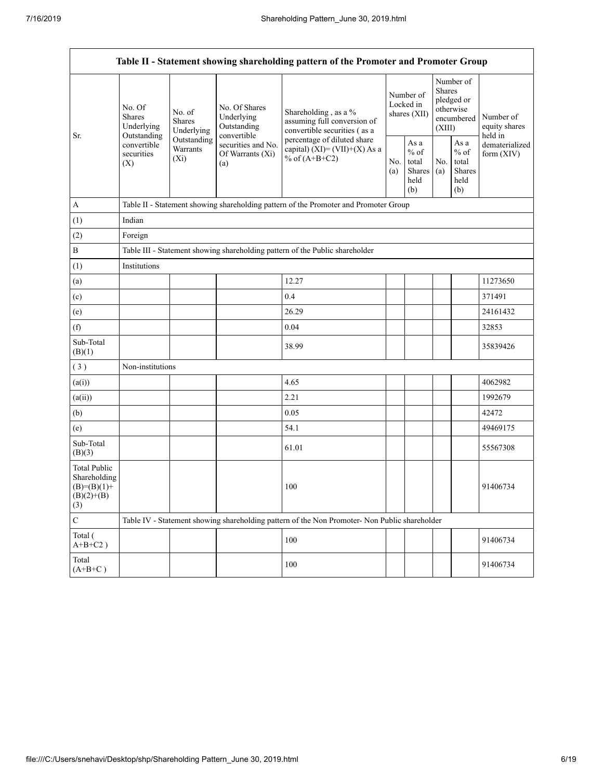|                                                                               |                                                                                                                         |                         |                                                           | Table II - Statement showing shareholding pattern of the Promoter and Promoter Group          |                                        |                                                   |                                                                        |                                                  |                                       |
|-------------------------------------------------------------------------------|-------------------------------------------------------------------------------------------------------------------------|-------------------------|-----------------------------------------------------------|-----------------------------------------------------------------------------------------------|----------------------------------------|---------------------------------------------------|------------------------------------------------------------------------|--------------------------------------------------|---------------------------------------|
| Sr.                                                                           | No. Of<br>No. of<br><b>Shares</b><br>Shares<br>Underlying<br>Outstanding<br>convertible<br>securities<br>$(X_i)$<br>(X) | Underlying              | No. Of Shares<br>Underlying<br>Outstanding<br>convertible | Shareholding, as a %<br>assuming full conversion of<br>convertible securities (as a           | Number of<br>Locked in<br>shares (XII) |                                                   | Number of<br>Shares<br>pledged or<br>otherwise<br>encumbered<br>(XIII) |                                                  | Number of<br>equity shares<br>held in |
|                                                                               |                                                                                                                         | Outstanding<br>Warrants | securities and No.<br>Of Warrants $(X_i)$<br>(a)          | percentage of diluted share<br>capital) (XI)= $(VII)+(X)$ As a<br>% of $(A+B+C2)$             | No.<br>(a)                             | As a<br>$\%$ of<br>total<br>Shares<br>held<br>(b) | No.<br>(a)                                                             | As a<br>$%$ of<br>total<br>Shares<br>held<br>(b) | dematerialized<br>form $(XIV)$        |
| $\mathbf{A}$                                                                  |                                                                                                                         |                         |                                                           | Table II - Statement showing shareholding pattern of the Promoter and Promoter Group          |                                        |                                                   |                                                                        |                                                  |                                       |
| (1)                                                                           | Indian                                                                                                                  |                         |                                                           |                                                                                               |                                        |                                                   |                                                                        |                                                  |                                       |
| (2)                                                                           | Foreign                                                                                                                 |                         |                                                           |                                                                                               |                                        |                                                   |                                                                        |                                                  |                                       |
| $\, {\bf B}$                                                                  |                                                                                                                         |                         |                                                           | Table III - Statement showing shareholding pattern of the Public shareholder                  |                                        |                                                   |                                                                        |                                                  |                                       |
| (1)                                                                           | Institutions                                                                                                            |                         |                                                           |                                                                                               |                                        |                                                   |                                                                        |                                                  |                                       |
| (a)                                                                           |                                                                                                                         |                         |                                                           | 12.27                                                                                         |                                        |                                                   |                                                                        |                                                  | 11273650                              |
| (c)                                                                           |                                                                                                                         |                         |                                                           | 0.4                                                                                           |                                        |                                                   |                                                                        |                                                  | 371491                                |
| (e)                                                                           |                                                                                                                         |                         |                                                           | 26.29                                                                                         |                                        |                                                   |                                                                        |                                                  | 24161432                              |
| (f)                                                                           |                                                                                                                         |                         |                                                           | 0.04                                                                                          |                                        |                                                   |                                                                        |                                                  | 32853                                 |
| Sub-Total<br>(B)(1)                                                           |                                                                                                                         |                         |                                                           | 38.99                                                                                         |                                        |                                                   |                                                                        |                                                  | 35839426                              |
| (3)                                                                           | Non-institutions                                                                                                        |                         |                                                           |                                                                                               |                                        |                                                   |                                                                        |                                                  |                                       |
| (a(i))                                                                        |                                                                                                                         |                         |                                                           | 4.65                                                                                          |                                        |                                                   |                                                                        |                                                  | 4062982                               |
| (a(ii))                                                                       |                                                                                                                         |                         |                                                           | 2.21                                                                                          |                                        |                                                   |                                                                        |                                                  | 1992679                               |
| (b)                                                                           |                                                                                                                         |                         |                                                           | 0.05                                                                                          |                                        |                                                   |                                                                        |                                                  | 42472                                 |
| (e)                                                                           |                                                                                                                         |                         |                                                           | 54.1                                                                                          |                                        |                                                   |                                                                        |                                                  | 49469175                              |
| Sub-Total<br>(B)(3)                                                           |                                                                                                                         |                         |                                                           | 61.01                                                                                         |                                        |                                                   |                                                                        |                                                  | 55567308                              |
| <b>Total Public</b><br>Shareholding<br>$(B)= (B)(1) +$<br>$(B)(2)+(B)$<br>(3) |                                                                                                                         |                         |                                                           | 100                                                                                           |                                        |                                                   |                                                                        |                                                  | 91406734                              |
| $\mathbf C$                                                                   |                                                                                                                         |                         |                                                           | Table IV - Statement showing shareholding pattern of the Non Promoter- Non Public shareholder |                                        |                                                   |                                                                        |                                                  |                                       |
| Total (<br>$A+B+C2$ )                                                         |                                                                                                                         |                         |                                                           | 100                                                                                           |                                        |                                                   |                                                                        |                                                  | 91406734                              |
| Total<br>$(A+B+C)$                                                            |                                                                                                                         |                         |                                                           | 100                                                                                           |                                        |                                                   |                                                                        |                                                  | 91406734                              |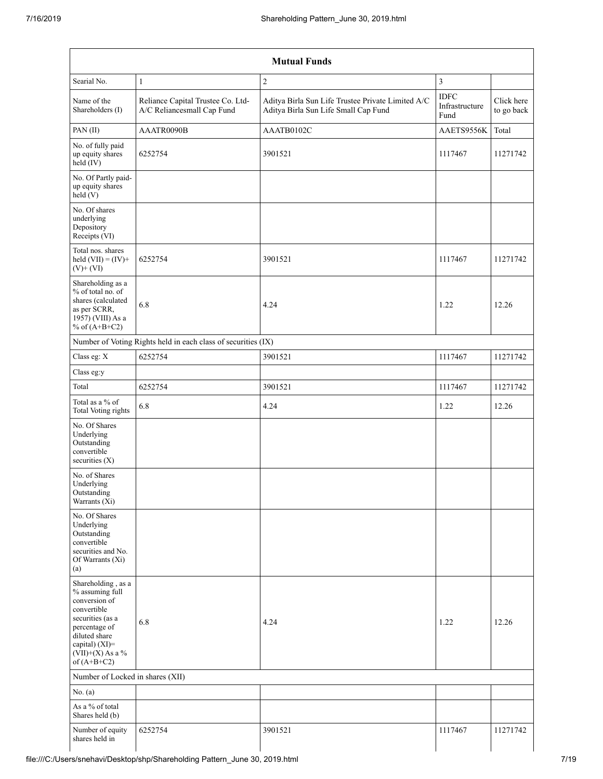| <b>Mutual Funds</b>                                                                                                                                                                  |                                                                 |                                                                                           |                                       |                          |  |  |  |  |
|--------------------------------------------------------------------------------------------------------------------------------------------------------------------------------------|-----------------------------------------------------------------|-------------------------------------------------------------------------------------------|---------------------------------------|--------------------------|--|--|--|--|
| Searial No.                                                                                                                                                                          | $\mathbf{1}$                                                    | $\overline{c}$                                                                            | 3                                     |                          |  |  |  |  |
| Name of the<br>Shareholders (I)                                                                                                                                                      | Reliance Capital Trustee Co. Ltd-<br>A/C Reliancesmall Cap Fund | Aditya Birla Sun Life Trustee Private Limited A/C<br>Aditya Birla Sun Life Small Cap Fund | <b>IDFC</b><br>Infrastructure<br>Fund | Click here<br>to go back |  |  |  |  |
| PAN(II)                                                                                                                                                                              | AAATR0090B                                                      | AAATB0102C                                                                                | AAETS9556K                            | Total                    |  |  |  |  |
| No. of fully paid<br>up equity shares<br>$held$ (IV)                                                                                                                                 | 6252754                                                         | 3901521                                                                                   | 1117467                               | 11271742                 |  |  |  |  |
| No. Of Partly paid-<br>up equity shares<br>held (V)                                                                                                                                  |                                                                 |                                                                                           |                                       |                          |  |  |  |  |
| No. Of shares<br>underlying<br>Depository<br>Receipts (VI)                                                                                                                           |                                                                 |                                                                                           |                                       |                          |  |  |  |  |
| Total nos. shares<br>held $(VII) = (IV) +$<br>$(V)$ + $(VI)$                                                                                                                         | 6252754                                                         | 3901521                                                                                   | 1117467                               | 11271742                 |  |  |  |  |
| Shareholding as a<br>% of total no. of<br>shares (calculated<br>as per SCRR,<br>1957) (VIII) As a<br>% of $(A+B+C2)$                                                                 | 6.8                                                             | 4.24                                                                                      | 1.22                                  | 12.26                    |  |  |  |  |
|                                                                                                                                                                                      | Number of Voting Rights held in each class of securities (IX)   |                                                                                           |                                       |                          |  |  |  |  |
| Class eg: X                                                                                                                                                                          | 6252754                                                         | 3901521                                                                                   | 1117467                               | 11271742                 |  |  |  |  |
| Class eg:y                                                                                                                                                                           |                                                                 |                                                                                           |                                       |                          |  |  |  |  |
| Total                                                                                                                                                                                | 6252754                                                         | 3901521                                                                                   | 1117467                               | 11271742                 |  |  |  |  |
| Total as a % of<br><b>Total Voting rights</b>                                                                                                                                        | 6.8                                                             | 4.24                                                                                      | 1.22                                  | 12.26                    |  |  |  |  |
| No. Of Shares<br>Underlying<br>Outstanding<br>convertible<br>securities (X)                                                                                                          |                                                                 |                                                                                           |                                       |                          |  |  |  |  |
| No. of Shares<br>Underlying<br>Outstanding<br>Warrants $(X_i)$                                                                                                                       |                                                                 |                                                                                           |                                       |                          |  |  |  |  |
| No. Of Shares<br>Underlying<br>Outstanding<br>convertible<br>securities and No.<br>Of Warrants (Xi)<br>(a)                                                                           |                                                                 |                                                                                           |                                       |                          |  |  |  |  |
| Shareholding, as a<br>% assuming full<br>conversion of<br>convertible<br>securities (as a<br>percentage of<br>diluted share<br>capital) (XI)=<br>$(VII)+(X)$ As a %<br>of $(A+B+C2)$ | 6.8                                                             | 4.24                                                                                      | 1.22                                  | 12.26                    |  |  |  |  |
| Number of Locked in shares (XII)                                                                                                                                                     |                                                                 |                                                                                           |                                       |                          |  |  |  |  |
| No. (a)                                                                                                                                                                              |                                                                 |                                                                                           |                                       |                          |  |  |  |  |
| As a % of total<br>Shares held (b)                                                                                                                                                   |                                                                 |                                                                                           |                                       |                          |  |  |  |  |
| Number of equity<br>shares held in                                                                                                                                                   | 6252754                                                         | 3901521                                                                                   | 1117467                               | 11271742                 |  |  |  |  |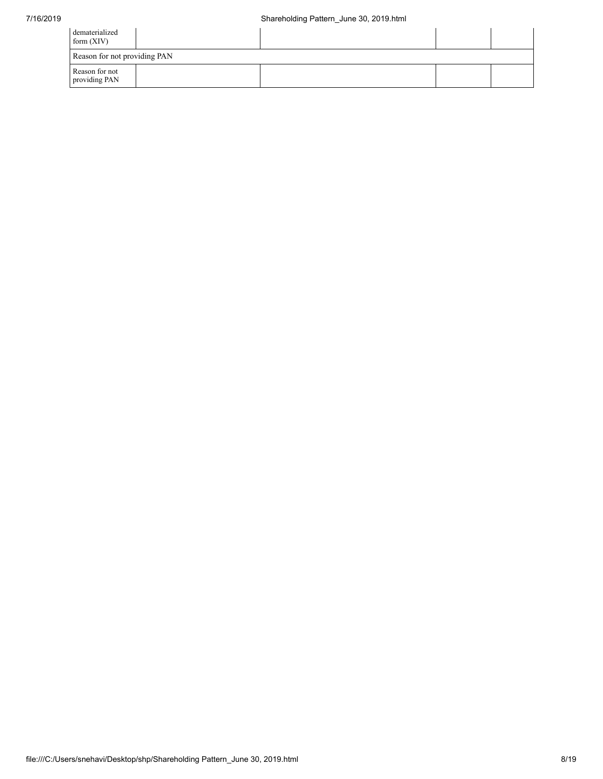| dematerialized<br>form $(XIV)$  |  |  |
|---------------------------------|--|--|
| Reason for not providing PAN    |  |  |
| Reason for not<br>providing PAN |  |  |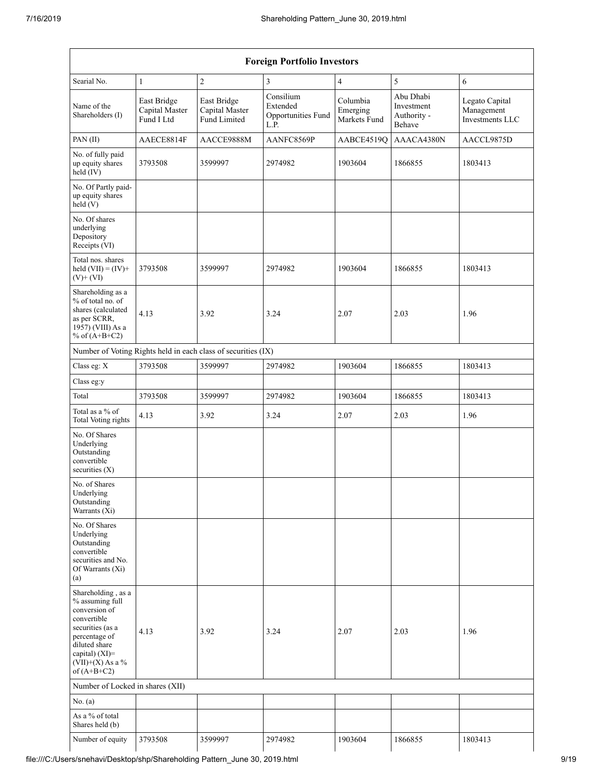| <b>Foreign Portfolio Investors</b>                                                                                                                                                   |                                             |                                                               |                                                     |                                      |                                                  |                                                 |  |  |
|--------------------------------------------------------------------------------------------------------------------------------------------------------------------------------------|---------------------------------------------|---------------------------------------------------------------|-----------------------------------------------------|--------------------------------------|--------------------------------------------------|-------------------------------------------------|--|--|
| Searial No.                                                                                                                                                                          | $\mathbf{1}$                                | $\overline{c}$                                                | $\mathfrak{Z}$                                      | 4                                    | 5                                                | 6                                               |  |  |
| Name of the<br>Shareholders (I)                                                                                                                                                      | East Bridge<br>Capital Master<br>Fund I Ltd | East Bridge<br>Capital Master<br>Fund Limited                 | Consilium<br>Extended<br>Opportunities Fund<br>L.P. | Columbia<br>Emerging<br>Markets Fund | Abu Dhabi<br>Investment<br>Authority -<br>Behave | Legato Capital<br>Management<br>Investments LLC |  |  |
| PAN (II)                                                                                                                                                                             | AAECE8814F                                  | AACCE9888M                                                    | AANFC8569P                                          | AABCE4519Q                           | AAACA4380N                                       | AACCL9875D                                      |  |  |
| No. of fully paid<br>up equity shares<br>held (IV)                                                                                                                                   | 3793508                                     | 3599997                                                       | 2974982                                             | 1903604                              | 1866855                                          | 1803413                                         |  |  |
| No. Of Partly paid-<br>up equity shares<br>held(V)                                                                                                                                   |                                             |                                                               |                                                     |                                      |                                                  |                                                 |  |  |
| No. Of shares<br>underlying<br>Depository<br>Receipts (VI)                                                                                                                           |                                             |                                                               |                                                     |                                      |                                                  |                                                 |  |  |
| Total nos. shares<br>held $(VII) = (IV) +$<br>$(V)$ + $(VI)$                                                                                                                         | 3793508                                     | 3599997                                                       | 2974982                                             | 1903604                              | 1866855                                          | 1803413                                         |  |  |
| Shareholding as a<br>% of total no. of<br>shares (calculated<br>as per SCRR,<br>1957) (VIII) As a<br>% of $(A+B+C2)$                                                                 | 4.13                                        | 3.92                                                          | 3.24                                                | 2.07                                 | 2.03                                             | 1.96                                            |  |  |
|                                                                                                                                                                                      |                                             | Number of Voting Rights held in each class of securities (IX) |                                                     |                                      |                                                  |                                                 |  |  |
| Class eg: X                                                                                                                                                                          | 3793508                                     | 3599997                                                       | 2974982                                             | 1903604                              | 1866855                                          | 1803413                                         |  |  |
| Class eg:y                                                                                                                                                                           |                                             |                                                               |                                                     |                                      |                                                  |                                                 |  |  |
| Total                                                                                                                                                                                | 3793508                                     | 3599997                                                       | 2974982                                             | 1903604                              | 1866855                                          | 1803413                                         |  |  |
| Total as a % of<br>Total Voting rights                                                                                                                                               | 4.13                                        | 3.92                                                          | 3.24                                                | 2.07                                 | 2.03                                             | 1.96                                            |  |  |
| No. Of Shares<br>Underlying<br>Outstanding<br>convertible<br>securities $(X)$                                                                                                        |                                             |                                                               |                                                     |                                      |                                                  |                                                 |  |  |
| No. of Shares<br>Underlying<br>Outstanding<br>Warrants (Xi)                                                                                                                          |                                             |                                                               |                                                     |                                      |                                                  |                                                 |  |  |
| No. Of Shares<br>Underlying<br>Outstanding<br>convertible<br>securities and No.<br>Of Warrants (Xi)<br>(a)                                                                           |                                             |                                                               |                                                     |                                      |                                                  |                                                 |  |  |
| Shareholding, as a<br>% assuming full<br>conversion of<br>convertible<br>securities (as a<br>percentage of<br>diluted share<br>capital) (XI)=<br>$(VII)+(X)$ As a %<br>of $(A+B+C2)$ | 4.13                                        | 3.92                                                          | 3.24                                                | 2.07                                 | 2.03                                             | 1.96                                            |  |  |
| Number of Locked in shares (XII)                                                                                                                                                     |                                             |                                                               |                                                     |                                      |                                                  |                                                 |  |  |
| No. (a)                                                                                                                                                                              |                                             |                                                               |                                                     |                                      |                                                  |                                                 |  |  |
| As a % of total<br>Shares held (b)                                                                                                                                                   |                                             |                                                               |                                                     |                                      |                                                  |                                                 |  |  |
| Number of equity                                                                                                                                                                     | 3793508                                     | 3599997                                                       | 2974982                                             | 1903604                              | 1866855                                          | 1803413                                         |  |  |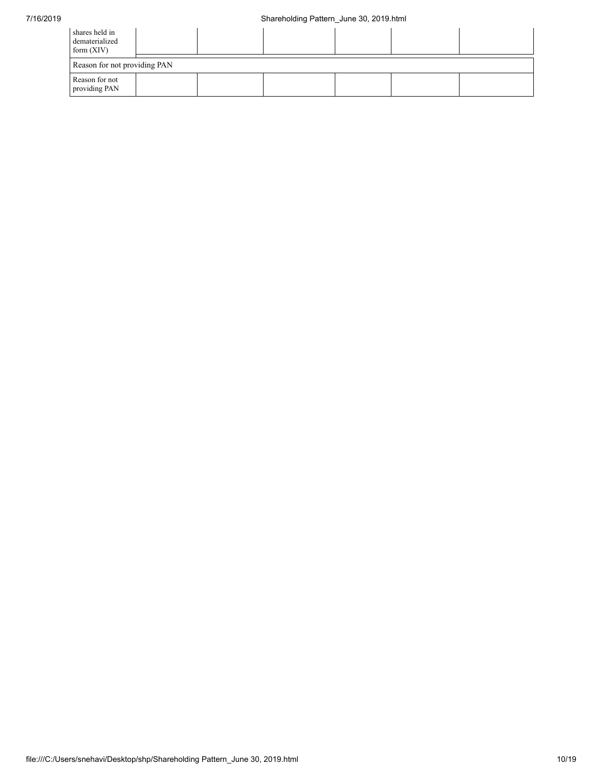| shares held in<br>dematerialized<br>form $(XIV)$ |  |  |  |
|--------------------------------------------------|--|--|--|
| Reason for not providing PAN                     |  |  |  |
| Reason for not<br>providing PAN                  |  |  |  |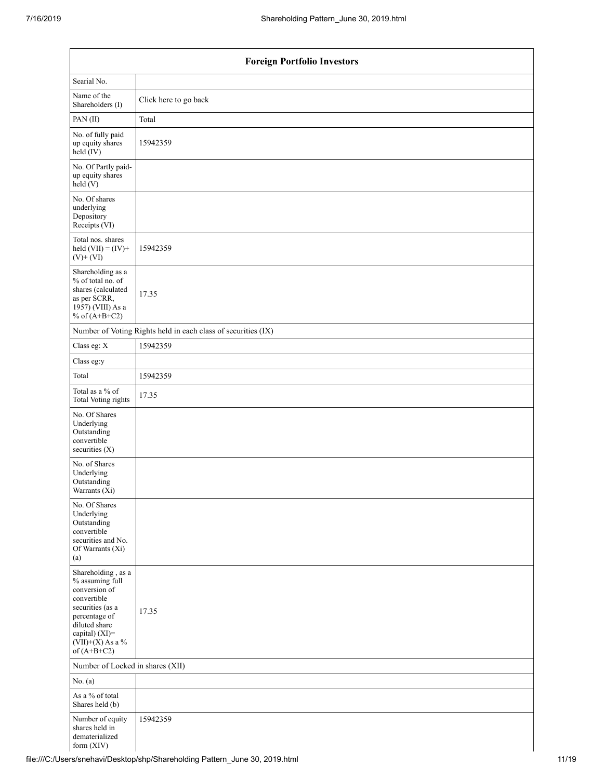|                                                                                                                                                                                      | <b>Foreign Portfolio Investors</b>                            |  |  |  |  |  |  |
|--------------------------------------------------------------------------------------------------------------------------------------------------------------------------------------|---------------------------------------------------------------|--|--|--|--|--|--|
| Searial No.                                                                                                                                                                          |                                                               |  |  |  |  |  |  |
| Name of the<br>Shareholders (I)                                                                                                                                                      | Click here to go back                                         |  |  |  |  |  |  |
| PAN(II)                                                                                                                                                                              | Total                                                         |  |  |  |  |  |  |
| No. of fully paid<br>up equity shares<br>$held$ (IV)                                                                                                                                 | 15942359                                                      |  |  |  |  |  |  |
| No. Of Partly paid-<br>up equity shares<br>held (V)                                                                                                                                  |                                                               |  |  |  |  |  |  |
| No. Of shares<br>underlying<br>Depository<br>Receipts (VI)                                                                                                                           |                                                               |  |  |  |  |  |  |
| Total nos. shares<br>held $(VII) = (IV) +$<br>$(V)$ + $(VI)$                                                                                                                         | 15942359                                                      |  |  |  |  |  |  |
| Shareholding as a<br>% of total no. of<br>shares (calculated<br>as per SCRR,<br>1957) (VIII) As a<br>% of $(A+B+C2)$                                                                 | 17.35                                                         |  |  |  |  |  |  |
|                                                                                                                                                                                      | Number of Voting Rights held in each class of securities (IX) |  |  |  |  |  |  |
| Class eg: X                                                                                                                                                                          | 15942359                                                      |  |  |  |  |  |  |
| Class eg:y                                                                                                                                                                           |                                                               |  |  |  |  |  |  |
| Total                                                                                                                                                                                | 15942359                                                      |  |  |  |  |  |  |
| Total as a % of<br>Total Voting rights                                                                                                                                               | 17.35                                                         |  |  |  |  |  |  |
| No. Of Shares<br>Underlying<br>Outstanding<br>convertible<br>securities $(X)$                                                                                                        |                                                               |  |  |  |  |  |  |
| No. of Shares<br>Underlying<br>Outstanding<br>Warrants (Xi)                                                                                                                          |                                                               |  |  |  |  |  |  |
| No. Of Shares<br>Underlying<br>Outstanding<br>convertible<br>securities and No.<br>Of Warrants (Xi)<br>(a)                                                                           |                                                               |  |  |  |  |  |  |
| Shareholding, as a<br>% assuming full<br>conversion of<br>convertible<br>securities (as a<br>percentage of<br>diluted share<br>capital) (XI)=<br>$(VII)+(X)$ As a %<br>of $(A+B+C2)$ | 17.35                                                         |  |  |  |  |  |  |
| Number of Locked in shares (XII)                                                                                                                                                     |                                                               |  |  |  |  |  |  |
| No. $(a)$                                                                                                                                                                            |                                                               |  |  |  |  |  |  |
| As a % of total<br>Shares held (b)                                                                                                                                                   |                                                               |  |  |  |  |  |  |
| Number of equity<br>shares held in<br>dematerialized<br>form $(XIV)$                                                                                                                 | 15942359                                                      |  |  |  |  |  |  |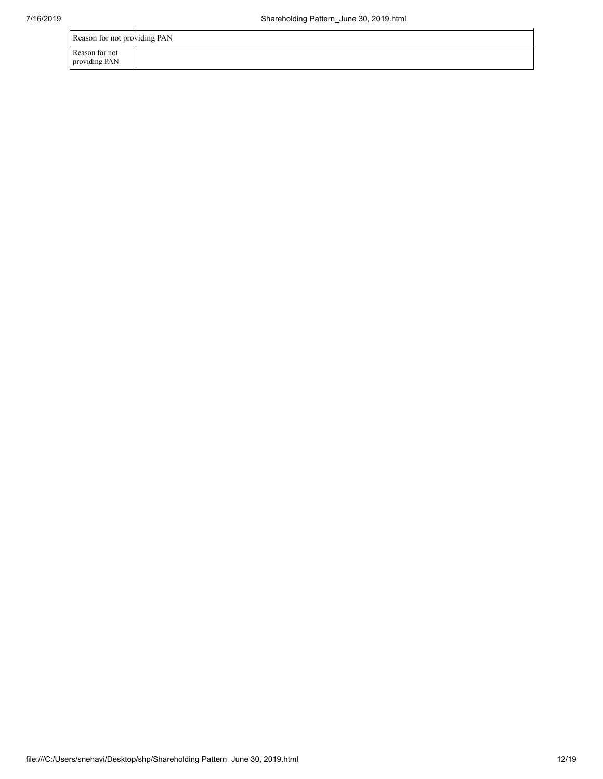| Reason for not providing PAN    |  |  |  |  |  |  |
|---------------------------------|--|--|--|--|--|--|
| Reason for not<br>providing PAN |  |  |  |  |  |  |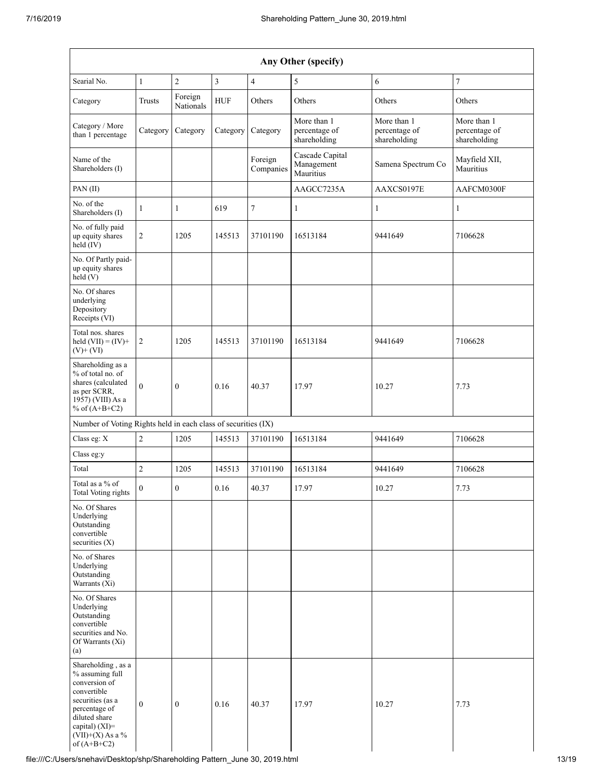| Any Other (specify)                                                                                                                                                                  |                  |                      |                |                      |                                              |                                              |                                              |
|--------------------------------------------------------------------------------------------------------------------------------------------------------------------------------------|------------------|----------------------|----------------|----------------------|----------------------------------------------|----------------------------------------------|----------------------------------------------|
| Searial No.                                                                                                                                                                          | $\mathbf{1}$     | $\mathbf{2}$         | $\mathfrak{Z}$ | $\overline{4}$       | 5                                            | 6                                            | 7                                            |
| Category                                                                                                                                                                             | Trusts           | Foreign<br>Nationals | <b>HUF</b>     | Others               | Others                                       | Others                                       | Others                                       |
| Category / More<br>than 1 percentage                                                                                                                                                 | Category         | Category             | Category       | Category             | More than 1<br>percentage of<br>shareholding | More than 1<br>percentage of<br>shareholding | More than 1<br>percentage of<br>shareholding |
| Name of the<br>Shareholders (I)                                                                                                                                                      |                  |                      |                | Foreign<br>Companies | Cascade Capital<br>Management<br>Mauritius   | Samena Spectrum Co                           | Mayfield XII,<br>Mauritius                   |
| PAN(II)                                                                                                                                                                              |                  |                      |                |                      | AAGCC7235A                                   | AAXCS0197E                                   | AAFCM0300F                                   |
| No. of the<br>Shareholders (I)                                                                                                                                                       | $\mathbf{1}$     | $\mathbf{1}$         | 619            | 7                    | $\mathbf{1}$                                 | 1                                            | $\mathbf{1}$                                 |
| No. of fully paid<br>up equity shares<br>held (IV)                                                                                                                                   | 2                | 1205                 | 145513         | 37101190             | 16513184                                     | 9441649                                      | 7106628                                      |
| No. Of Partly paid-<br>up equity shares<br>held (V)                                                                                                                                  |                  |                      |                |                      |                                              |                                              |                                              |
| No. Of shares<br>underlying<br>Depository<br>Receipts (VI)                                                                                                                           |                  |                      |                |                      |                                              |                                              |                                              |
| Total nos. shares<br>held $(VII) = (IV) +$<br>$(V)$ + $(VI)$                                                                                                                         | 2                | 1205                 | 145513         | 37101190             | 16513184                                     | 9441649                                      | 7106628                                      |
| Shareholding as a<br>% of total no. of<br>shares (calculated<br>as per SCRR,<br>1957) (VIII) As a<br>% of $(A+B+C2)$                                                                 | $\theta$         | $\mathbf{0}$         | 0.16           | 40.37                | 17.97                                        | 10.27                                        | 7.73                                         |
| Number of Voting Rights held in each class of securities (IX)                                                                                                                        |                  |                      |                |                      |                                              |                                              |                                              |
| Class eg: X                                                                                                                                                                          | $\overline{2}$   | 1205                 | 145513         | 37101190             | 16513184                                     | 9441649                                      | 7106628                                      |
| Class eg:y                                                                                                                                                                           |                  |                      |                |                      |                                              |                                              |                                              |
| Total                                                                                                                                                                                | $\overline{2}$   | 1205                 | 145513         | 37101190             | 16513184                                     | 9441649                                      | 7106628                                      |
| Total as a % of<br>Total Voting rights                                                                                                                                               | $\theta$         | $\theta$             | $0.16\,$       | 40.37                | 17.97                                        | 10.27                                        | 7.73                                         |
| No. Of Shares<br>Underlying<br>Outstanding<br>convertible<br>securities $(X)$                                                                                                        |                  |                      |                |                      |                                              |                                              |                                              |
| No. of Shares<br>Underlying<br>Outstanding<br>Warrants $(X_i)$                                                                                                                       |                  |                      |                |                      |                                              |                                              |                                              |
| No. Of Shares<br>Underlying<br>Outstanding<br>convertible<br>securities and No.<br>Of Warrants (Xi)<br>(a)                                                                           |                  |                      |                |                      |                                              |                                              |                                              |
| Shareholding, as a<br>% assuming full<br>conversion of<br>convertible<br>securities (as a<br>percentage of<br>diluted share<br>capital) (XI)=<br>$(VII)+(X)$ As a %<br>of $(A+B+C2)$ | $\boldsymbol{0}$ | $\boldsymbol{0}$     | 0.16           | 40.37                | 17.97                                        | 10.27                                        | 7.73                                         |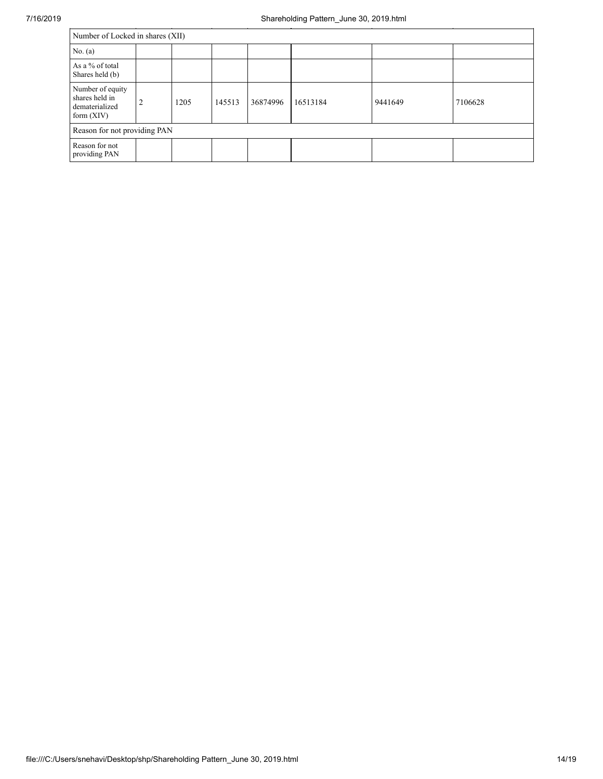| Number of Locked in shares (XII)                                     |                |      |        |          |          |         |         |
|----------------------------------------------------------------------|----------------|------|--------|----------|----------|---------|---------|
| No. $(a)$                                                            |                |      |        |          |          |         |         |
| As a % of total<br>Shares held (b)                                   |                |      |        |          |          |         |         |
| Number of equity<br>shares held in<br>dematerialized<br>form $(XIV)$ | $\bigcap$<br>∠ | 1205 | 145513 | 36874996 | 16513184 | 9441649 | 7106628 |
| Reason for not providing PAN                                         |                |      |        |          |          |         |         |
| Reason for not<br>providing PAN                                      |                |      |        |          |          |         |         |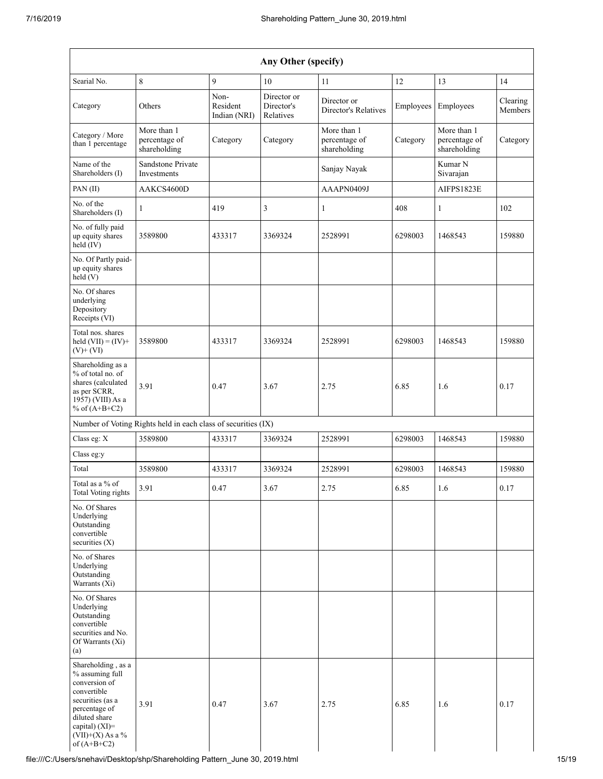| Any Other (specify)                                                                                                                                                                     |                                                               |                                  |                                        |                                              |           |                                              |                     |
|-----------------------------------------------------------------------------------------------------------------------------------------------------------------------------------------|---------------------------------------------------------------|----------------------------------|----------------------------------------|----------------------------------------------|-----------|----------------------------------------------|---------------------|
| Searial No.                                                                                                                                                                             | 8                                                             | 9                                | 10                                     | 11                                           | 12        | 13                                           | 14                  |
| Category                                                                                                                                                                                | Others                                                        | Non-<br>Resident<br>Indian (NRI) | Director or<br>Director's<br>Relatives | Director or<br>Director's Relatives          | Employees | Employees                                    | Clearing<br>Members |
| Category / More<br>than 1 percentage                                                                                                                                                    | More than 1<br>percentage of<br>shareholding                  | Category                         | Category                               | More than 1<br>percentage of<br>shareholding | Category  | More than 1<br>percentage of<br>shareholding | Category            |
| Name of the<br>Shareholders (I)                                                                                                                                                         | Sandstone Private<br>Investments                              |                                  |                                        | Sanjay Nayak                                 |           | Kumar <sub>N</sub><br>Sivarajan              |                     |
| PAN (II)                                                                                                                                                                                | AAKCS4600D                                                    |                                  |                                        | AAAPN0409J                                   |           | AIFPS1823E                                   |                     |
| No. of the<br>Shareholders (I)                                                                                                                                                          | 1                                                             | 419                              | 3                                      | 1                                            | 408       | 1                                            | 102                 |
| No. of fully paid<br>up equity shares<br>held (IV)                                                                                                                                      | 3589800                                                       | 433317                           | 3369324                                | 2528991                                      | 6298003   | 1468543                                      | 159880              |
| No. Of Partly paid-<br>up equity shares<br>held(V)                                                                                                                                      |                                                               |                                  |                                        |                                              |           |                                              |                     |
| No. Of shares<br>underlying<br>Depository<br>Receipts (VI)                                                                                                                              |                                                               |                                  |                                        |                                              |           |                                              |                     |
| Total nos. shares<br>held $(VII) = (IV) +$<br>$(V)$ + $(VI)$                                                                                                                            | 3589800                                                       | 433317                           | 3369324                                | 2528991                                      | 6298003   | 1468543                                      | 159880              |
| Shareholding as a<br>% of total no. of<br>shares (calculated<br>as per SCRR,<br>1957) (VIII) As a<br>% of $(A+B+C2)$                                                                    | 3.91                                                          | 0.47                             | 3.67                                   | 2.75                                         | 6.85      | 1.6                                          | 0.17                |
|                                                                                                                                                                                         | Number of Voting Rights held in each class of securities (IX) |                                  |                                        |                                              |           |                                              |                     |
| Class eg: X                                                                                                                                                                             | 3589800                                                       | 433317                           | 3369324                                | 2528991                                      | 6298003   | 1468543                                      | 159880              |
| Class eg:y                                                                                                                                                                              |                                                               |                                  |                                        |                                              |           |                                              |                     |
| Total                                                                                                                                                                                   | 3589800                                                       | 433317                           | 3369324                                | 2528991                                      | 6298003   | 1468543                                      | 159880              |
| Total as a % of<br>Total Voting rights                                                                                                                                                  | 3.91                                                          | 0.47                             | 3.67                                   | 2.75                                         | 6.85      | 1.6                                          | 0.17                |
| No. Of Shares<br>Underlying<br>Outstanding<br>convertible<br>securities $(X)$                                                                                                           |                                                               |                                  |                                        |                                              |           |                                              |                     |
| No. of Shares<br>Underlying<br>Outstanding<br>Warrants (Xi)                                                                                                                             |                                                               |                                  |                                        |                                              |           |                                              |                     |
| No. Of Shares<br>Underlying<br>Outstanding<br>convertible<br>securities and No.<br>Of Warrants (Xi)<br>(a)                                                                              |                                                               |                                  |                                        |                                              |           |                                              |                     |
| Shareholding, as a<br>% assuming full<br>conversion of<br>convertible<br>securities (as a<br>percentage of<br>diluted share<br>capital) $(XI)$ =<br>$(VII)+(X)$ As a %<br>of $(A+B+C2)$ | 3.91                                                          | 0.47                             | 3.67                                   | 2.75                                         | 6.85      | 1.6                                          | 0.17                |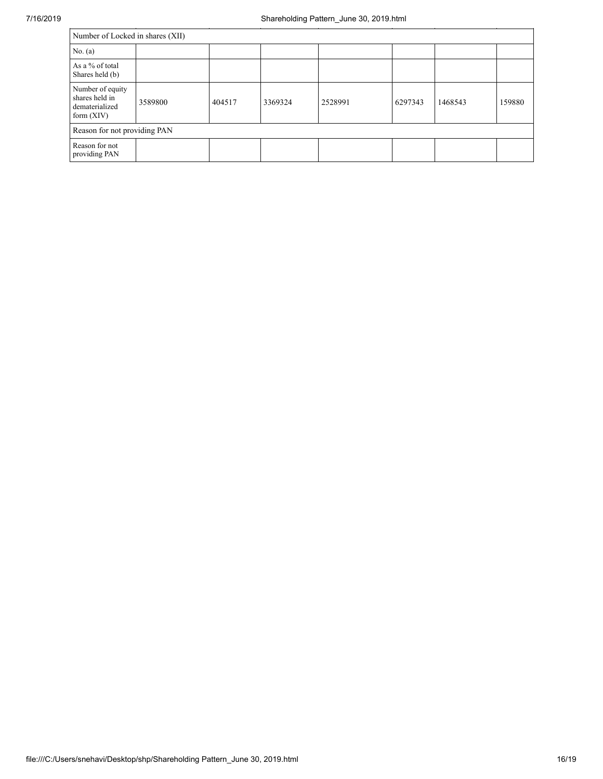| Number of Locked in shares (XII)                                     |         |        |         |         |         |         |        |
|----------------------------------------------------------------------|---------|--------|---------|---------|---------|---------|--------|
| No. $(a)$                                                            |         |        |         |         |         |         |        |
| As a % of total<br>Shares held (b)                                   |         |        |         |         |         |         |        |
| Number of equity<br>shares held in<br>dematerialized<br>form $(XIV)$ | 3589800 | 404517 | 3369324 | 2528991 | 6297343 | 1468543 | 159880 |
| Reason for not providing PAN                                         |         |        |         |         |         |         |        |
| Reason for not<br>providing PAN                                      |         |        |         |         |         |         |        |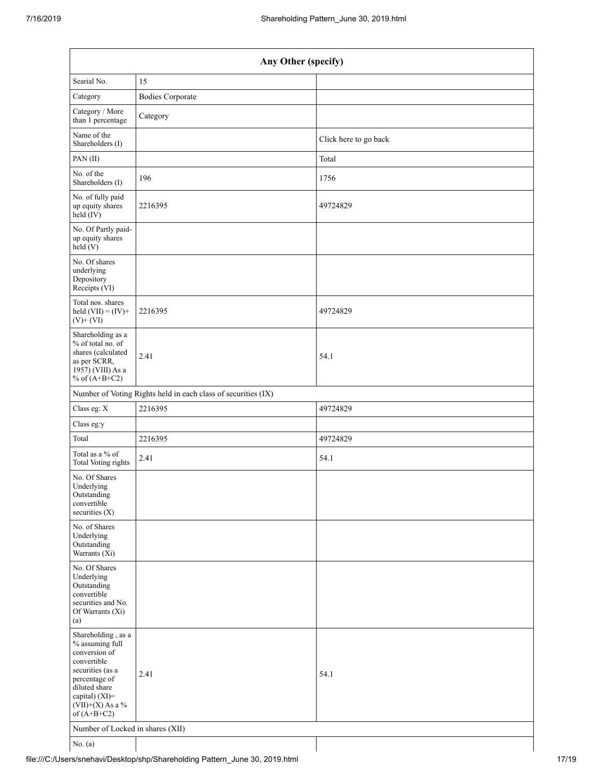| Any Other (specify)                                                                                                                                                                  |                                                               |                       |  |  |  |  |
|--------------------------------------------------------------------------------------------------------------------------------------------------------------------------------------|---------------------------------------------------------------|-----------------------|--|--|--|--|
| Searial No.                                                                                                                                                                          | 15                                                            |                       |  |  |  |  |
| Category                                                                                                                                                                             | <b>Bodies Corporate</b>                                       |                       |  |  |  |  |
| Category / More<br>than 1 percentage                                                                                                                                                 | Category                                                      |                       |  |  |  |  |
| Name of the<br>Shareholders (I)                                                                                                                                                      |                                                               | Click here to go back |  |  |  |  |
| PAN(II)                                                                                                                                                                              |                                                               | Total                 |  |  |  |  |
| No. of the<br>Shareholders (I)                                                                                                                                                       | 196                                                           | 1756                  |  |  |  |  |
| No. of fully paid<br>up equity shares<br>$held$ (IV)                                                                                                                                 | 2216395                                                       | 49724829              |  |  |  |  |
| No. Of Partly paid-<br>up equity shares<br>held $(V)$                                                                                                                                |                                                               |                       |  |  |  |  |
| No. Of shares<br>underlying<br>Depository<br>Receipts (VI)                                                                                                                           |                                                               |                       |  |  |  |  |
| Total nos. shares<br>held $(VII) = (IV) +$<br>$(V)$ + $(VI)$                                                                                                                         | 2216395                                                       | 49724829              |  |  |  |  |
| Shareholding as a<br>% of total no. of<br>shares (calculated<br>as per SCRR,<br>1957) (VIII) As a<br>% of $(A+B+C2)$                                                                 | 2.41                                                          | 54.1                  |  |  |  |  |
|                                                                                                                                                                                      | Number of Voting Rights held in each class of securities (IX) |                       |  |  |  |  |
| Class eg: $\mathbf X$                                                                                                                                                                | 2216395                                                       | 49724829              |  |  |  |  |
| Class eg:y                                                                                                                                                                           |                                                               |                       |  |  |  |  |
| Total                                                                                                                                                                                | 2216395                                                       | 49724829              |  |  |  |  |
| Total as a $\%$ of<br><b>Total Voting rights</b>                                                                                                                                     | 2.41                                                          | 54.1                  |  |  |  |  |
| No. Of Shares<br>Underlying<br>Outstanding<br>convertible<br>securities $(X)$                                                                                                        |                                                               |                       |  |  |  |  |
| No. of Shares<br>Underlying<br>Outstanding<br>Warrants (Xi)                                                                                                                          |                                                               |                       |  |  |  |  |
| No. Of Shares<br>Underlying<br>Outstanding<br>convertible<br>securities and No.<br>Of Warrants (Xi)<br>(a)                                                                           |                                                               |                       |  |  |  |  |
| Shareholding, as a<br>% assuming full<br>conversion of<br>convertible<br>securities (as a<br>percentage of<br>diluted share<br>capital) (XI)=<br>$(VII)+(X)$ As a %<br>of $(A+B+C2)$ | 2.41                                                          | 54.1                  |  |  |  |  |
| Number of Locked in shares (XII)                                                                                                                                                     |                                                               |                       |  |  |  |  |
| No. (a)                                                                                                                                                                              |                                                               |                       |  |  |  |  |

file:///C:/Users/snehavi/Desktop/shp/Shareholding Pattern\_June 30, 2019.html 17/19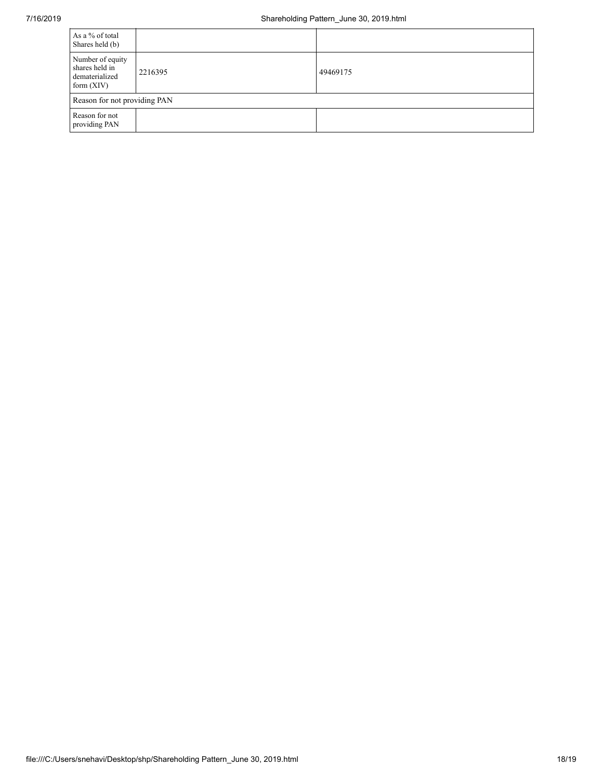| As a % of total<br>Shares held (b)                                   |         |          |  |  |  |
|----------------------------------------------------------------------|---------|----------|--|--|--|
| Number of equity<br>shares held in<br>dematerialized<br>form $(XIV)$ | 2216395 | 49469175 |  |  |  |
| Reason for not providing PAN                                         |         |          |  |  |  |
| Reason for not<br>providing PAN                                      |         |          |  |  |  |